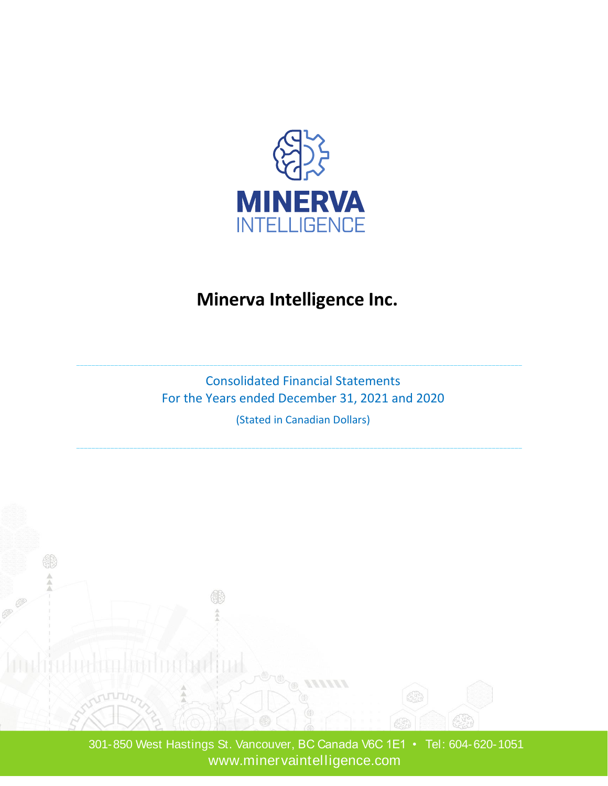

# **Minerva Intelligence Inc.**

Consolidated Financial Statements For the Years ended December 31, 2021 and 2020

\_\_\_\_\_\_\_\_\_\_\_\_\_\_\_\_\_\_\_\_\_\_\_\_\_\_\_\_\_\_\_\_\_\_\_\_\_\_\_\_\_\_\_\_\_\_\_\_\_\_\_\_\_\_\_\_\_\_\_\_\_\_\_\_\_\_\_\_\_\_\_\_\_\_\_\_\_\_\_\_\_\_\_\_\_\_\_\_\_\_\_\_\_\_\_\_\_\_\_\_\_\_\_\_\_\_\_\_\_\_\_\_\_\_\_\_\_

(Stated in Canadian Dollars)

\_\_\_\_\_\_\_\_\_\_\_\_\_\_\_\_\_\_\_\_\_\_\_\_\_\_\_\_\_\_\_\_\_\_\_\_\_\_\_\_\_\_\_\_\_\_\_\_\_\_\_\_\_\_\_\_\_\_\_\_\_\_\_\_\_\_\_\_\_\_\_\_\_\_\_\_\_\_\_\_\_\_\_\_\_\_\_\_\_\_\_\_\_\_\_\_\_\_\_\_\_\_\_\_\_\_\_\_\_\_\_\_\_\_\_\_\_



www.minervaintelligence.com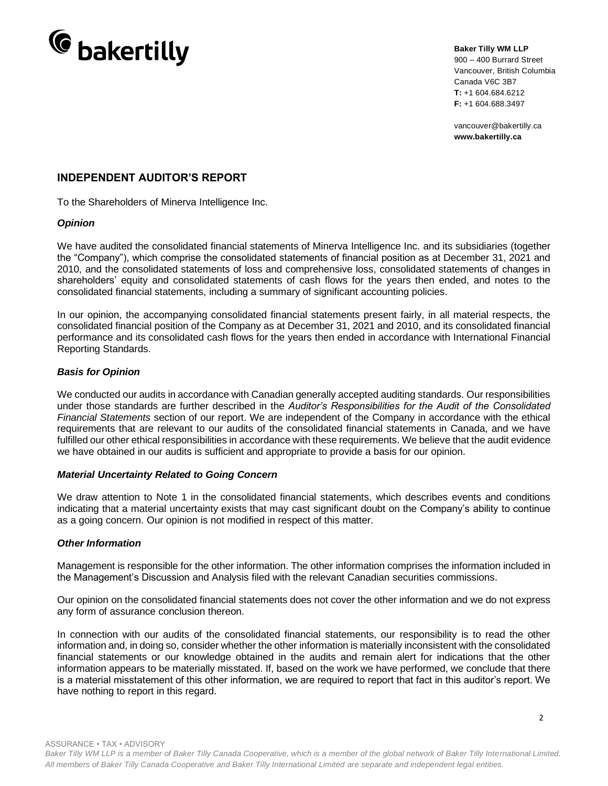

**Baker Tilly WM LLP** 900 – 400 Burrard Street Vancouver, British Columbia Canada V6C 3B7 **T:** +1 604.684.6212 **F:** +1 604.688.3497

vancouver@bakertilly.ca **www.bakertilly.ca**

# **INDEPENDENT AUDITOR'S REPORT**

To the Shareholders of Minerva Intelligence Inc.

# *Opinion*

We have audited the consolidated financial statements of Minerva Intelligence Inc. and its subsidiaries (together the "Company"), which comprise the consolidated statements of financial position as at December 31, 2021 and 2010, and the consolidated statements of loss and comprehensive loss, consolidated statements of changes in shareholders' equity and consolidated statements of cash flows for the years then ended, and notes to the consolidated financial statements, including a summary of significant accounting policies.

In our opinion, the accompanying consolidated financial statements present fairly, in all material respects, the consolidated financial position of the Company as at December 31, 2021 and 2010, and its consolidated financial performance and its consolidated cash flows for the years then ended in accordance with International Financial Reporting Standards.

# *Basis for Opinion*

We conducted our audits in accordance with Canadian generally accepted auditing standards. Our responsibilities under those standards are further described in the *Auditor's Responsibilities for the Audit of the Consolidated Financial Statements* section of our report. We are independent of the Company in accordance with the ethical requirements that are relevant to our audits of the consolidated financial statements in Canada, and we have fulfilled our other ethical responsibilities in accordance with these requirements. We believe that the audit evidence we have obtained in our audits is sufficient and appropriate to provide a basis for our opinion.

# *Material Uncertainty Related to Going Concern*

We draw attention to Note 1 in the consolidated financial statements, which describes events and conditions indicating that a material uncertainty exists that may cast significant doubt on the Company's ability to continue as a going concern. Our opinion is not modified in respect of this matter.

# *Other Information*

Management is responsible for the other information. The other information comprises the information included in the Management's Discussion and Analysis filed with the relevant Canadian securities commissions.

Our opinion on the consolidated financial statements does not cover the other information and we do not express any form of assurance conclusion thereon.

In connection with our audits of the consolidated financial statements, our responsibility is to read the other information and, in doing so, consider whether the other information is materially inconsistent with the consolidated financial statements or our knowledge obtained in the audits and remain alert for indications that the other information appears to be materially misstated. If, based on the work we have performed, we conclude that there is a material misstatement of this other information, we are required to report that fact in this auditor's report. We have nothing to report in this regard.

2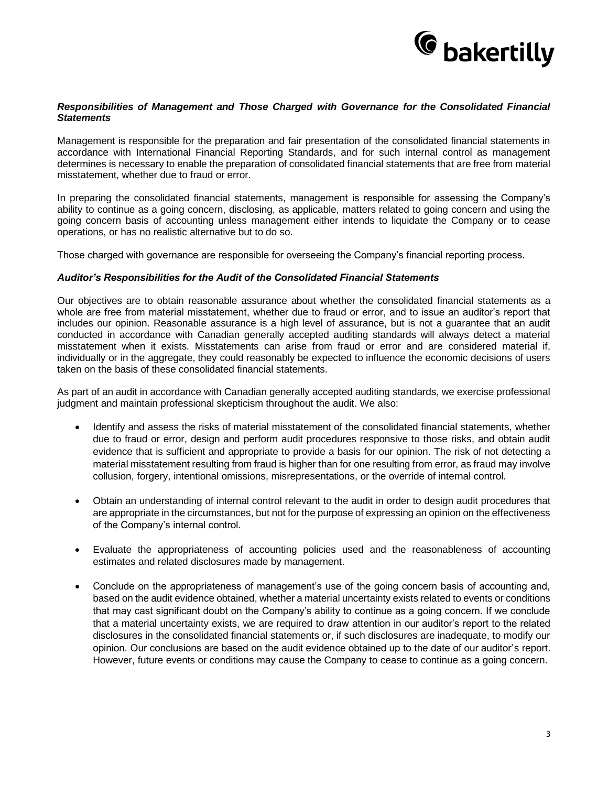

# *Responsibilities of Management and Those Charged with Governance for the Consolidated Financial Statements*

Management is responsible for the preparation and fair presentation of the consolidated financial statements in accordance with International Financial Reporting Standards, and for such internal control as management determines is necessary to enable the preparation of consolidated financial statements that are free from material misstatement, whether due to fraud or error.

In preparing the consolidated financial statements, management is responsible for assessing the Company's ability to continue as a going concern, disclosing, as applicable, matters related to going concern and using the going concern basis of accounting unless management either intends to liquidate the Company or to cease operations, or has no realistic alternative but to do so.

Those charged with governance are responsible for overseeing the Company's financial reporting process.

# *Auditor's Responsibilities for the Audit of the Consolidated Financial Statements*

Our objectives are to obtain reasonable assurance about whether the consolidated financial statements as a whole are free from material misstatement, whether due to fraud or error, and to issue an auditor's report that includes our opinion. Reasonable assurance is a high level of assurance, but is not a guarantee that an audit conducted in accordance with Canadian generally accepted auditing standards will always detect a material misstatement when it exists. Misstatements can arise from fraud or error and are considered material if, individually or in the aggregate, they could reasonably be expected to influence the economic decisions of users taken on the basis of these consolidated financial statements.

As part of an audit in accordance with Canadian generally accepted auditing standards, we exercise professional judgment and maintain professional skepticism throughout the audit. We also:

- Identify and assess the risks of material misstatement of the consolidated financial statements, whether due to fraud or error, design and perform audit procedures responsive to those risks, and obtain audit evidence that is sufficient and appropriate to provide a basis for our opinion. The risk of not detecting a material misstatement resulting from fraud is higher than for one resulting from error, as fraud may involve collusion, forgery, intentional omissions, misrepresentations, or the override of internal control.
- Obtain an understanding of internal control relevant to the audit in order to design audit procedures that are appropriate in the circumstances, but not for the purpose of expressing an opinion on the effectiveness of the Company's internal control.
- Evaluate the appropriateness of accounting policies used and the reasonableness of accounting estimates and related disclosures made by management.
- Conclude on the appropriateness of management's use of the going concern basis of accounting and, based on the audit evidence obtained, whether a material uncertainty exists related to events or conditions that may cast significant doubt on the Company's ability to continue as a going concern. If we conclude that a material uncertainty exists, we are required to draw attention in our auditor's report to the related disclosures in the consolidated financial statements or, if such disclosures are inadequate, to modify our opinion. Our conclusions are based on the audit evidence obtained up to the date of our auditor's report. However, future events or conditions may cause the Company to cease to continue as a going concern.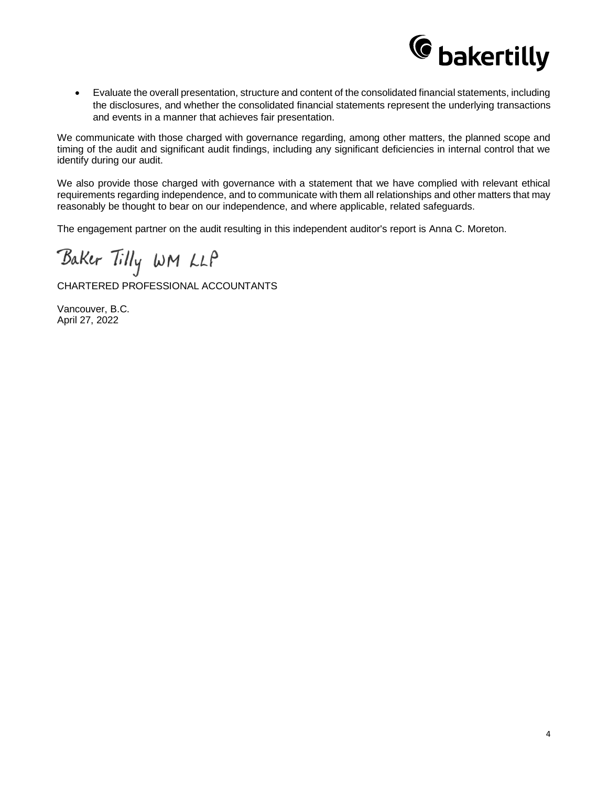

• Evaluate the overall presentation, structure and content of the consolidated financial statements, including the disclosures, and whether the consolidated financial statements represent the underlying transactions and events in a manner that achieves fair presentation.

We communicate with those charged with governance regarding, among other matters, the planned scope and timing of the audit and significant audit findings, including any significant deficiencies in internal control that we identify during our audit.

We also provide those charged with governance with a statement that we have complied with relevant ethical requirements regarding independence, and to communicate with them all relationships and other matters that may reasonably be thought to bear on our independence, and where applicable, related safeguards.

The engagement partner on the audit resulting in this independent auditor's report is Anna C. Moreton.

Baker Tilly WM LLP

CHARTERED PROFESSIONAL ACCOUNTANTS

Vancouver, B.C. April 27, 2022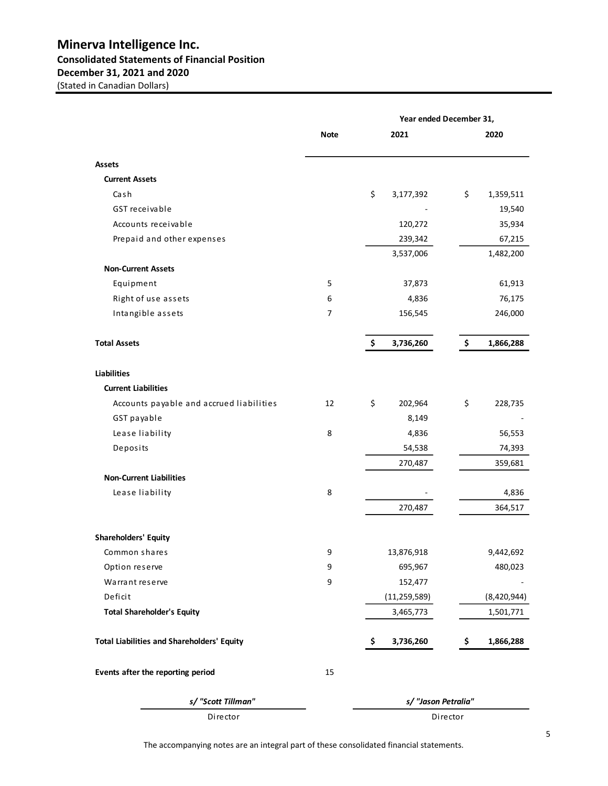|                                                   |             |                     | Year ended December 31, |             |  |  |
|---------------------------------------------------|-------------|---------------------|-------------------------|-------------|--|--|
|                                                   | <b>Note</b> | 2021                |                         | 2020        |  |  |
| <b>Assets</b>                                     |             |                     |                         |             |  |  |
| <b>Current Assets</b>                             |             |                     |                         |             |  |  |
| Cash                                              |             | \$<br>3,177,392     | \$                      | 1,359,511   |  |  |
| GST receivable                                    |             |                     |                         | 19,540      |  |  |
| Accounts receivable                               |             | 120,272             |                         | 35,934      |  |  |
| Prepaid and other expenses                        |             | 239,342             |                         | 67,215      |  |  |
|                                                   |             | 3,537,006           |                         | 1,482,200   |  |  |
| <b>Non-Current Assets</b>                         |             |                     |                         |             |  |  |
| Equipment                                         | 5           | 37,873              |                         | 61,913      |  |  |
| Right of use assets                               | 6           | 4,836               |                         | 76,175      |  |  |
| Intangible assets                                 | 7           | 156,545             |                         | 246,000     |  |  |
| <b>Total Assets</b>                               |             | \$<br>3,736,260     | \$                      | 1,866,288   |  |  |
| <b>Liabilities</b>                                |             |                     |                         |             |  |  |
| <b>Current Liabilities</b>                        |             |                     |                         |             |  |  |
| Accounts payable and accrued liabilities          | 12          | \$<br>202,964       | \$                      | 228,735     |  |  |
| GST payable                                       |             | 8,149               |                         |             |  |  |
| Lease liability                                   | 8           | 4,836               |                         | 56,553      |  |  |
| Deposits                                          |             | 54,538              |                         | 74,393      |  |  |
|                                                   |             | 270,487             |                         | 359,681     |  |  |
| <b>Non-Current Liabilities</b>                    |             |                     |                         |             |  |  |
| Lease liability                                   | 8           |                     |                         | 4,836       |  |  |
|                                                   |             | 270,487             |                         | 364,517     |  |  |
| <b>Shareholders' Equity</b>                       |             |                     |                         |             |  |  |
| Common shares                                     | 9           | 13,876,918          |                         | 9,442,692   |  |  |
| Option reserve                                    | 9           | 695,967             |                         | 480,023     |  |  |
| Warrant reserve                                   | 9           | 152,477             |                         |             |  |  |
| Deficit                                           |             | (11, 259, 589)      |                         | (8,420,944) |  |  |
| <b>Total Shareholder's Equity</b>                 |             | 3,465,773           |                         | 1,501,771   |  |  |
| <b>Total Liabilities and Shareholders' Equity</b> |             | \$<br>3,736,260     | \$                      | 1,866,288   |  |  |
| Events after the reporting period                 | 15          |                     |                         |             |  |  |
| s/ "Scott Tillman"                                |             | s/ "Jason Petralia" |                         |             |  |  |
| Director                                          |             |                     | Director                |             |  |  |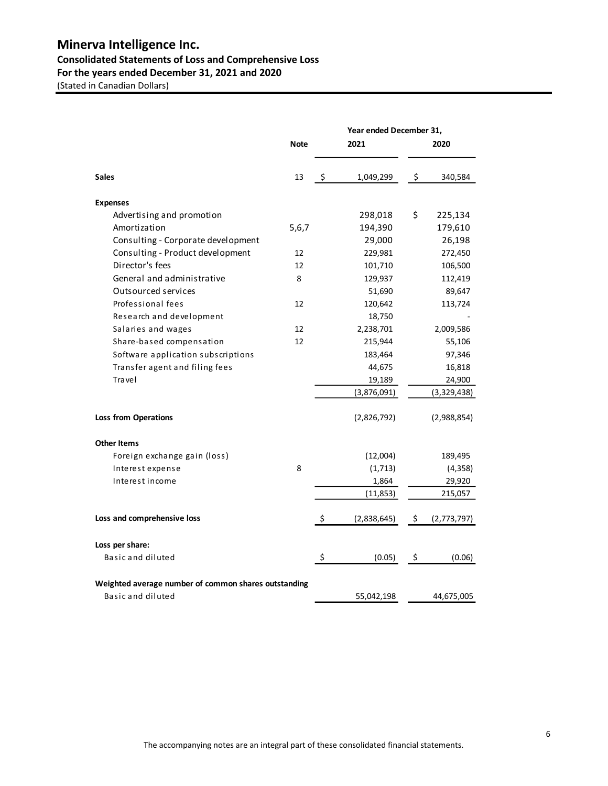# **Minerva Intelligence Inc. Consolidated Statements of Loss and Comprehensive Loss For the years ended December 31, 2021 and 2020**

(Stated in Canadian Dollars)

|                                                      |             | Year ended December 31, |             |    |             |  |
|------------------------------------------------------|-------------|-------------------------|-------------|----|-------------|--|
|                                                      | <b>Note</b> |                         | 2021        |    | 2020        |  |
| <b>Sales</b>                                         | 13          | \$                      | 1,049,299   | \$ | 340,584     |  |
| <b>Expenses</b>                                      |             |                         |             |    |             |  |
| Advertising and promotion                            |             |                         | 298,018     | \$ | 225,134     |  |
| Amortization                                         | 5,6,7       |                         | 194,390     |    | 179,610     |  |
| Consulting - Corporate development                   |             |                         | 29,000      |    | 26,198      |  |
| Consulting - Product development                     | 12          |                         | 229,981     |    | 272,450     |  |
| Director's fees                                      | 12          |                         | 101,710     |    | 106,500     |  |
| General and administrative                           | 8           |                         | 129,937     |    | 112,419     |  |
| Outsourced services                                  |             |                         | 51,690      |    | 89,647      |  |
| Professional fees                                    | 12          |                         | 120,642     |    | 113,724     |  |
| Research and development                             |             |                         | 18,750      |    |             |  |
| Salaries and wages                                   | 12          |                         | 2,238,701   |    | 2,009,586   |  |
| Share-based compensation                             | 12          |                         | 215,944     |    | 55,106      |  |
| Software application subscriptions                   |             |                         | 183,464     |    | 97,346      |  |
| Transfer agent and filing fees                       |             |                         | 44,675      |    | 16,818      |  |
| Travel                                               |             |                         | 19,189      |    | 24,900      |  |
|                                                      |             |                         | (3,876,091) |    | (3,329,438) |  |
| <b>Loss from Operations</b>                          |             |                         | (2,826,792) |    | (2,988,854) |  |
| <b>Other Items</b>                                   |             |                         |             |    |             |  |
| Foreign exchange gain (loss)                         |             |                         | (12,004)    |    | 189,495     |  |
| Interest expense                                     | 8           |                         | (1,713)     |    | (4,358)     |  |
| Interest income                                      |             |                         | 1,864       |    | 29,920      |  |
|                                                      |             |                         | (11, 853)   |    | 215,057     |  |
| Loss and comprehensive loss                          |             | \$                      | (2,838,645) | \$ | (2,773,797) |  |
| Loss per share:                                      |             |                         |             |    |             |  |
| Basic and diluted                                    |             | \$                      | (0.05)      | \$ | (0.06)      |  |
| Weighted average number of common shares outstanding |             |                         |             |    |             |  |
| Basic and diluted                                    |             |                         | 55,042,198  |    | 44,675,005  |  |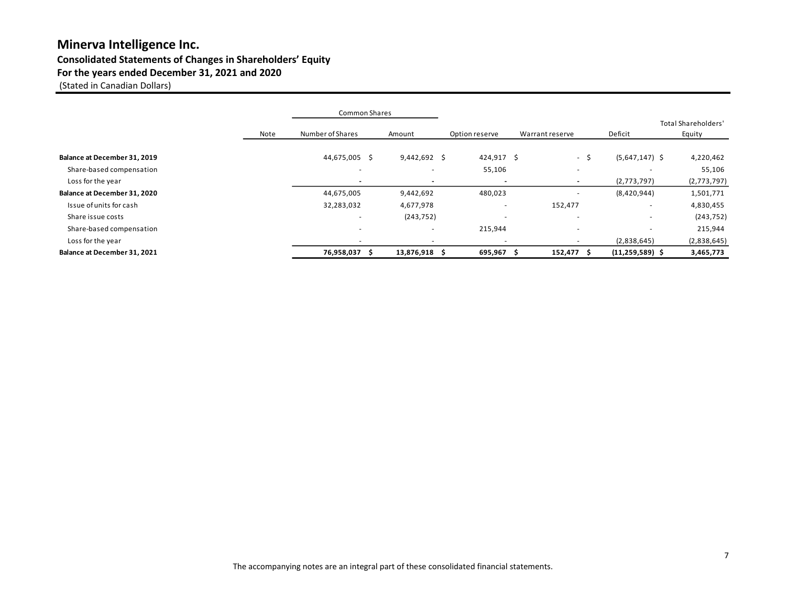# **Minerva Intelligence Inc. Consolidated Statements of Changes in Shareholders' Equity For the years ended December 31, 2021 and 2020**

(Stated in Canadian Dollars)

|                              |      | <b>Common Shares</b>     |                  |                          |                          |                          |                            |
|------------------------------|------|--------------------------|------------------|--------------------------|--------------------------|--------------------------|----------------------------|
|                              |      |                          |                  |                          |                          |                          | <b>Total Shareholders'</b> |
|                              | Note | Number of Shares         | Amount           | Option reserve           | Warrant reserve          | Deficit                  | Equity                     |
|                              |      |                          |                  |                          |                          |                          |                            |
| Balance at December 31, 2019 |      | 44,675,005 \$            | $9,442,692$ \$   | 424,917 \$               | - \$                     | $(5,647,147)$ \$         | 4,220,462                  |
| Share-based compensation     |      | $\overline{\phantom{0}}$ |                  | 55,106                   | $\overline{\phantom{a}}$ |                          | 55,106                     |
| Loss for the year            |      |                          |                  | $\overline{\phantom{0}}$ |                          | (2,773,797)              | (2,773,797)                |
| Balance at December 31, 2020 |      | 44,675,005               | 9,442,692        | 480,023                  |                          | (8,420,944)              | 1,501,771                  |
| Issue of units for cash      |      | 32,283,032               | 4,677,978        | $\sim$                   | 152,477                  | $\overline{\phantom{a}}$ | 4,830,455                  |
| Share issue costs            |      | $\overline{\phantom{0}}$ | (243, 752)       | $\overline{\phantom{0}}$ | $\overline{\phantom{a}}$ | $\overline{a}$           | (243, 752)                 |
| Share-based compensation     |      | ٠                        |                  | 215,944                  | $\overline{\phantom{a}}$ | $\overline{\phantom{a}}$ | 215,944                    |
| Loss for the year            |      | $\overline{\phantom{a}}$ |                  | $\overline{\phantom{a}}$ |                          | (2,838,645)              | (2,838,645)                |
| Balance at December 31, 2021 |      | 76,958,037               | 13,876,918<br>ъ. | 695,967                  | 152,477<br>- 5           | $(11, 259, 589)$ \$      | 3,465,773                  |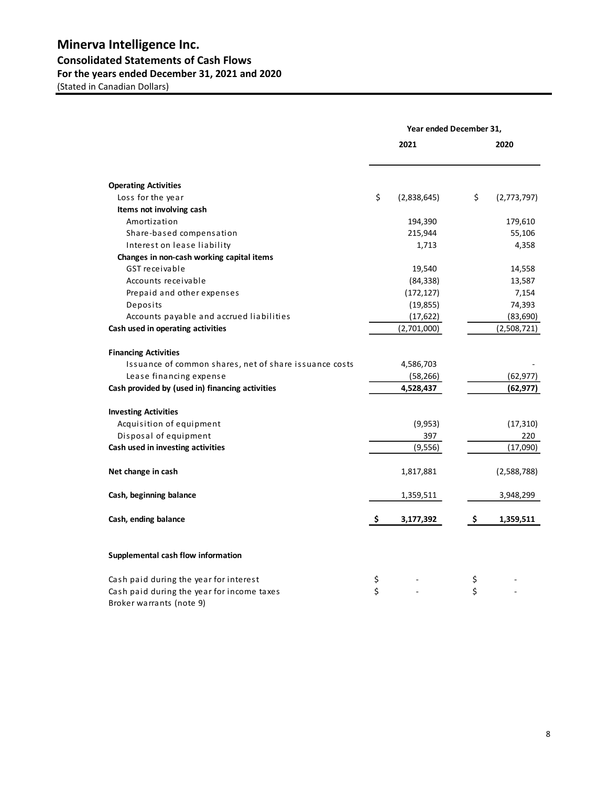# **Minerva Intelligence Inc. Consolidated Statements of Cash Flows For the years ended December 31, 2021 and 2020**

(Stated in Canadian Dollars)

|                                                                        |    | Year ended December 31, |    |             |
|------------------------------------------------------------------------|----|-------------------------|----|-------------|
|                                                                        |    | 2021                    |    | 2020        |
| <b>Operating Activities</b>                                            |    |                         |    |             |
| Loss for the year                                                      | \$ | (2,838,645)             | \$ | (2,773,797) |
| Items not involving cash                                               |    |                         |    |             |
| Amortization                                                           |    | 194,390                 |    | 179,610     |
| Share-based compensation                                               |    | 215,944                 |    | 55,106      |
| Interest on lease liability                                            |    | 1,713                   |    | 4,358       |
| Changes in non-cash working capital items                              |    |                         |    |             |
| GST receivable                                                         |    | 19,540                  |    | 14,558      |
| Accounts receivable                                                    |    | (84, 338)               |    | 13,587      |
| Prepaid and other expenses                                             |    | (172, 127)              |    | 7,154       |
| Deposits                                                               |    | (19, 855)               |    | 74,393      |
| Accounts payable and accrued liabilities                               |    | (17, 622)               |    | (83, 690)   |
| Cash used in operating activities                                      |    | (2,701,000)             |    | (2,508,721) |
| <b>Financing Activities</b>                                            |    |                         |    |             |
| Issuance of common shares, net of share issuance costs                 |    | 4,586,703               |    |             |
| Lease financing expense                                                |    | (58, 266)               |    | (62, 977)   |
| Cash provided by (used in) financing activities                        |    | 4,528,437               |    | (62, 977)   |
| <b>Investing Activities</b>                                            |    |                         |    |             |
| Acquisition of equipment                                               |    | (9,953)                 |    | (17, 310)   |
| Disposal of equipment                                                  |    | 397                     |    | 220         |
| Cash used in investing activities                                      |    | (9,556)                 |    | (17,090)    |
| Net change in cash                                                     |    | 1,817,881               |    | (2,588,788) |
| Cash, beginning balance                                                |    | 1,359,511               |    | 3,948,299   |
| Cash, ending balance                                                   | \$ | 3,177,392               | \$ | 1,359,511   |
| Supplemental cash flow information                                     |    |                         |    |             |
| Cash paid during the year for interest                                 | \$ |                         | Ş  |             |
| Cash paid during the year for income taxes<br>Broker warrants (note 9) | \$ |                         | \$ |             |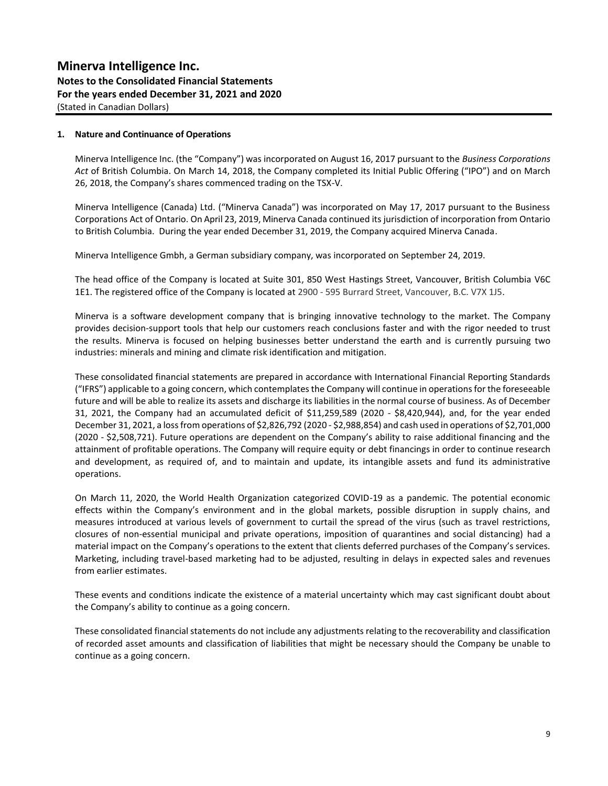#### **1. Nature and Continuance of Operations**

Minerva Intelligence Inc. (the "Company") was incorporated on August 16, 2017 pursuant to the *Business Corporations Act* of British Columbia. On March 14, 2018, the Company completed its Initial Public Offering ("IPO") and on March 26, 2018, the Company's shares commenced trading on the TSX-V.

Minerva Intelligence (Canada) Ltd. ("Minerva Canada") was incorporated on May 17, 2017 pursuant to the Business Corporations Act of Ontario. On April 23, 2019, Minerva Canada continued its jurisdiction of incorporation from Ontario to British Columbia. During the year ended December 31, 2019, the Company acquired Minerva Canada.

Minerva Intelligence Gmbh, a German subsidiary company, was incorporated on September 24, 2019.

The head office of the Company is located at Suite 301, 850 West Hastings Street, Vancouver, British Columbia V6C 1E1. The registered office of the Company is located at 2900 - 595 Burrard Street, Vancouver, B.C. V7X 1J5.

Minerva is a software development company that is bringing innovative technology to the market. The Company provides decision-support tools that help our customers reach conclusions faster and with the rigor needed to trust the results. Minerva is focused on helping businesses better understand the earth and is currently pursuing two industries: minerals and mining and climate risk identification and mitigation.

These consolidated financial statements are prepared in accordance with International Financial Reporting Standards ("IFRS") applicable to a going concern, which contemplates the Company will continue in operations for the foreseeable future and will be able to realize its assets and discharge its liabilities in the normal course of business. As of December 31, 2021, the Company had an accumulated deficit of \$11,259,589 (2020 - \$8,420,944), and, for the year ended December 31, 2021, a loss from operations of \$2,826,792 (2020 - \$2,988,854) and cash used in operations of \$2,701,000 (2020 - \$2,508,721). Future operations are dependent on the Company's ability to raise additional financing and the attainment of profitable operations. The Company will require equity or debt financings in order to continue research and development, as required of, and to maintain and update, its intangible assets and fund its administrative operations.

On March 11, 2020, the World Health Organization categorized COVID-19 as a pandemic. The potential economic effects within the Company's environment and in the global markets, possible disruption in supply chains, and measures introduced at various levels of government to curtail the spread of the virus (such as travel restrictions, closures of non-essential municipal and private operations, imposition of quarantines and social distancing) had a material impact on the Company's operations to the extent that clients deferred purchases of the Company's services. Marketing, including travel-based marketing had to be adjusted, resulting in delays in expected sales and revenues from earlier estimates.

These events and conditions indicate the existence of a material uncertainty which may cast significant doubt about the Company's ability to continue as a going concern.

These consolidated financial statements do not include any adjustments relating to the recoverability and classification of recorded asset amounts and classification of liabilities that might be necessary should the Company be unable to continue as a going concern.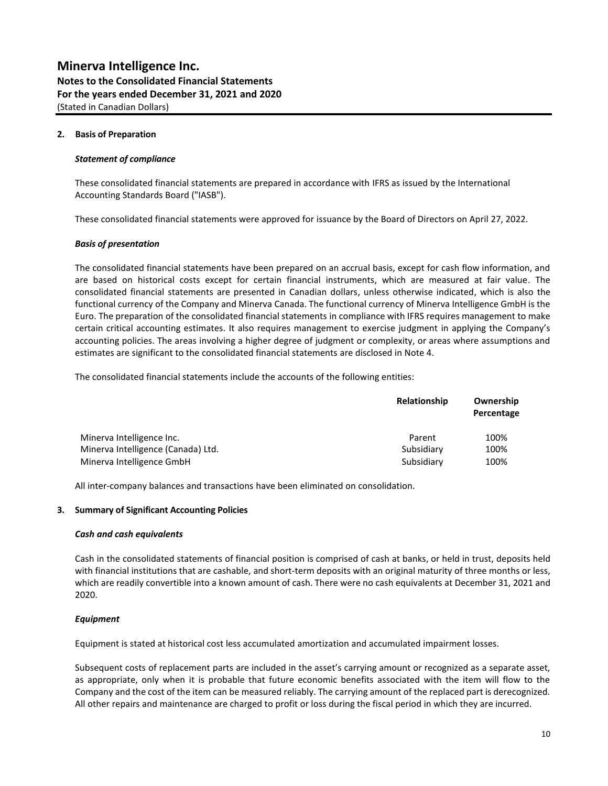### **2. Basis of Preparation**

#### *Statement of compliance*

These consolidated financial statements are prepared in accordance with IFRS as issued by the International Accounting Standards Board ("IASB").

These consolidated financial statements were approved for issuance by the Board of Directors on April 27, 2022.

#### *Basis of presentation*

The consolidated financial statements have been prepared on an accrual basis, except for cash flow information, and are based on historical costs except for certain financial instruments, which are measured at fair value. The consolidated financial statements are presented in Canadian dollars, unless otherwise indicated, which is also the functional currency of the Company and Minerva Canada. The functional currency of Minerva Intelligence GmbH is the Euro. The preparation of the consolidated financial statements in compliance with IFRS requires management to make certain critical accounting estimates. It also requires management to exercise judgment in applying the Company's accounting policies. The areas involving a higher degree of judgment or complexity, or areas where assumptions and estimates are significant to the consolidated financial statements are disclosed in Note 4.

The consolidated financial statements include the accounts of the following entities:

|                                    | Relationship | Ownership<br>Percentage |
|------------------------------------|--------------|-------------------------|
| Minerva Intelligence Inc.          | Parent       | 100%                    |
| Minerva Intelligence (Canada) Ltd. | Subsidiary   | 100%                    |
| Minerva Intelligence GmbH          | Subsidiary   | 100%                    |

All inter-company balances and transactions have been eliminated on consolidation.

#### **3. Summary of Significant Accounting Policies**

#### *Cash and cash equivalents*

Cash in the consolidated statements of financial position is comprised of cash at banks, or held in trust, deposits held with financial institutions that are cashable, and short-term deposits with an original maturity of three months or less, which are readily convertible into a known amount of cash. There were no cash equivalents at December 31, 2021 and 2020.

# *Equipment*

Equipment is stated at historical cost less accumulated amortization and accumulated impairment losses.

Subsequent costs of replacement parts are included in the asset's carrying amount or recognized as a separate asset, as appropriate, only when it is probable that future economic benefits associated with the item will flow to the Company and the cost of the item can be measured reliably. The carrying amount of the replaced part is derecognized. All other repairs and maintenance are charged to profit or loss during the fiscal period in which they are incurred.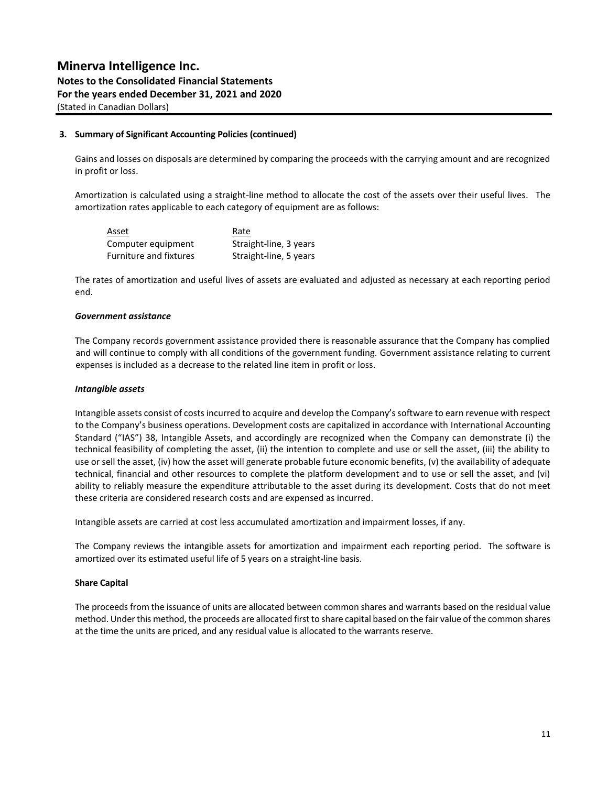Gains and losses on disposals are determined by comparing the proceeds with the carrying amount and are recognized in profit or loss.

Amortization is calculated using a straight-line method to allocate the cost of the assets over their useful lives. The amortization rates applicable to each category of equipment are as follows:

| Asset                         | Rate                   |
|-------------------------------|------------------------|
| Computer equipment            | Straight-line, 3 years |
| <b>Furniture and fixtures</b> | Straight-line, 5 years |

The rates of amortization and useful lives of assets are evaluated and adjusted as necessary at each reporting period end.

#### *Government assistance*

The Company records government assistance provided there is reasonable assurance that the Company has complied and will continue to comply with all conditions of the government funding. Government assistance relating to current expenses is included as a decrease to the related line item in profit or loss.

#### *Intangible assets*

Intangible assets consist of costs incurred to acquire and develop the Company's software to earn revenue with respect to the Company's business operations. Development costs are capitalized in accordance with International Accounting Standard ("IAS") 38, Intangible Assets, and accordingly are recognized when the Company can demonstrate (i) the technical feasibility of completing the asset, (ii) the intention to complete and use or sell the asset, (iii) the ability to use or sell the asset, (iv) how the asset will generate probable future economic benefits, (v) the availability of adequate technical, financial and other resources to complete the platform development and to use or sell the asset, and (vi) ability to reliably measure the expenditure attributable to the asset during its development. Costs that do not meet these criteria are considered research costs and are expensed as incurred.

Intangible assets are carried at cost less accumulated amortization and impairment losses, if any.

The Company reviews the intangible assets for amortization and impairment each reporting period. The software is amortized over its estimated useful life of 5 years on a straight-line basis.

#### **Share Capital**

The proceeds from the issuance of units are allocated between common shares and warrants based on the residual value method. Under this method, the proceeds are allocated first to share capital based on the fair value of the common shares at the time the units are priced, and any residual value is allocated to the warrants reserve.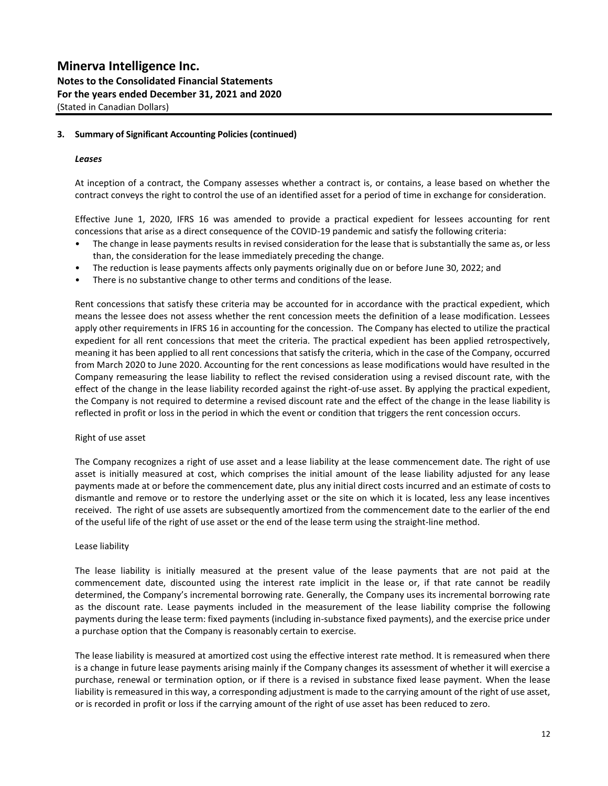#### *Leases*

At inception of a contract, the Company assesses whether a contract is, or contains, a lease based on whether the contract conveys the right to control the use of an identified asset for a period of time in exchange for consideration.

Effective June 1, 2020, IFRS 16 was amended to provide a practical expedient for lessees accounting for rent concessions that arise as a direct consequence of the COVID-19 pandemic and satisfy the following criteria:

- The change in lease payments results in revised consideration for the lease that is substantially the same as, or less than, the consideration for the lease immediately preceding the change.
- The reduction is lease payments affects only payments originally due on or before June 30, 2022; and
- There is no substantive change to other terms and conditions of the lease.

Rent concessions that satisfy these criteria may be accounted for in accordance with the practical expedient, which means the lessee does not assess whether the rent concession meets the definition of a lease modification. Lessees apply other requirements in IFRS 16 in accounting for the concession. The Company has elected to utilize the practical expedient for all rent concessions that meet the criteria. The practical expedient has been applied retrospectively, meaning it has been applied to all rent concessions that satisfy the criteria, which in the case of the Company, occurred from March 2020 to June 2020. Accounting for the rent concessions as lease modifications would have resulted in the Company remeasuring the lease liability to reflect the revised consideration using a revised discount rate, with the effect of the change in the lease liability recorded against the right-of-use asset. By applying the practical expedient, the Company is not required to determine a revised discount rate and the effect of the change in the lease liability is reflected in profit or loss in the period in which the event or condition that triggers the rent concession occurs.

#### Right of use asset

The Company recognizes a right of use asset and a lease liability at the lease commencement date. The right of use asset is initially measured at cost, which comprises the initial amount of the lease liability adjusted for any lease payments made at or before the commencement date, plus any initial direct costs incurred and an estimate of costs to dismantle and remove or to restore the underlying asset or the site on which it is located, less any lease incentives received. The right of use assets are subsequently amortized from the commencement date to the earlier of the end of the useful life of the right of use asset or the end of the lease term using the straight-line method.

#### Lease liability

The lease liability is initially measured at the present value of the lease payments that are not paid at the commencement date, discounted using the interest rate implicit in the lease or, if that rate cannot be readily determined, the Company's incremental borrowing rate. Generally, the Company uses its incremental borrowing rate as the discount rate. Lease payments included in the measurement of the lease liability comprise the following payments during the lease term: fixed payments (including in-substance fixed payments), and the exercise price under a purchase option that the Company is reasonably certain to exercise.

The lease liability is measured at amortized cost using the effective interest rate method. It is remeasured when there is a change in future lease payments arising mainly if the Company changes its assessment of whether it will exercise a purchase, renewal or termination option, or if there is a revised in substance fixed lease payment. When the lease liability is remeasured in this way, a corresponding adjustment is made to the carrying amount of the right of use asset, or is recorded in profit or loss if the carrying amount of the right of use asset has been reduced to zero.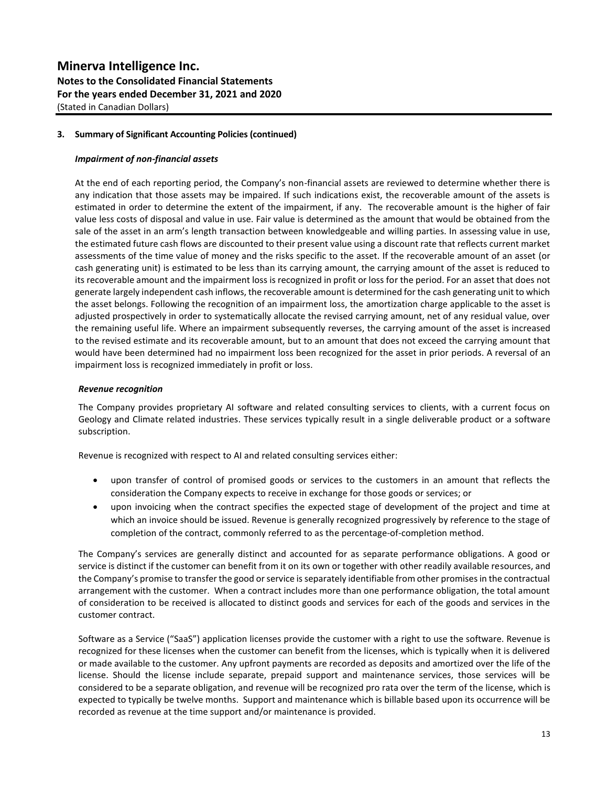#### *Impairment of non-financial assets*

At the end of each reporting period, the Company's non-financial assets are reviewed to determine whether there is any indication that those assets may be impaired. If such indications exist, the recoverable amount of the assets is estimated in order to determine the extent of the impairment, if any. The recoverable amount is the higher of fair value less costs of disposal and value in use. Fair value is determined as the amount that would be obtained from the sale of the asset in an arm's length transaction between knowledgeable and willing parties. In assessing value in use, the estimated future cash flows are discounted to their present value using a discount rate that reflects current market assessments of the time value of money and the risks specific to the asset. If the recoverable amount of an asset (or cash generating unit) is estimated to be less than its carrying amount, the carrying amount of the asset is reduced to its recoverable amount and the impairment loss is recognized in profit or loss for the period. For an asset that does not generate largely independent cash inflows, the recoverable amount is determined for the cash generating unit to which the asset belongs. Following the recognition of an impairment loss, the amortization charge applicable to the asset is adjusted prospectively in order to systematically allocate the revised carrying amount, net of any residual value, over the remaining useful life. Where an impairment subsequently reverses, the carrying amount of the asset is increased to the revised estimate and its recoverable amount, but to an amount that does not exceed the carrying amount that would have been determined had no impairment loss been recognized for the asset in prior periods. A reversal of an impairment loss is recognized immediately in profit or loss.

#### *Revenue recognition*

The Company provides proprietary AI software and related consulting services to clients, with a current focus on Geology and Climate related industries. These services typically result in a single deliverable product or a software subscription.

Revenue is recognized with respect to AI and related consulting services either:

- upon transfer of control of promised goods or services to the customers in an amount that reflects the consideration the Company expects to receive in exchange for those goods or services; or
- upon invoicing when the contract specifies the expected stage of development of the project and time at which an invoice should be issued. Revenue is generally recognized progressively by reference to the stage of completion of the contract, commonly referred to as the percentage-of-completion method.

The Company's services are generally distinct and accounted for as separate performance obligations. A good or service is distinct if the customer can benefit from it on its own or together with other readily available resources, and the Company's promise to transfer the good or service is separately identifiable from other promises in the contractual arrangement with the customer. When a contract includes more than one performance obligation, the total amount of consideration to be received is allocated to distinct goods and services for each of the goods and services in the customer contract.

Software as a Service ("SaaS") application licenses provide the customer with a right to use the software. Revenue is recognized for these licenses when the customer can benefit from the licenses, which is typically when it is delivered or made available to the customer. Any upfront payments are recorded as deposits and amortized over the life of the license. Should the license include separate, prepaid support and maintenance services, those services will be considered to be a separate obligation, and revenue will be recognized pro rata over the term of the license, which is expected to typically be twelve months. Support and maintenance which is billable based upon its occurrence will be recorded as revenue at the time support and/or maintenance is provided.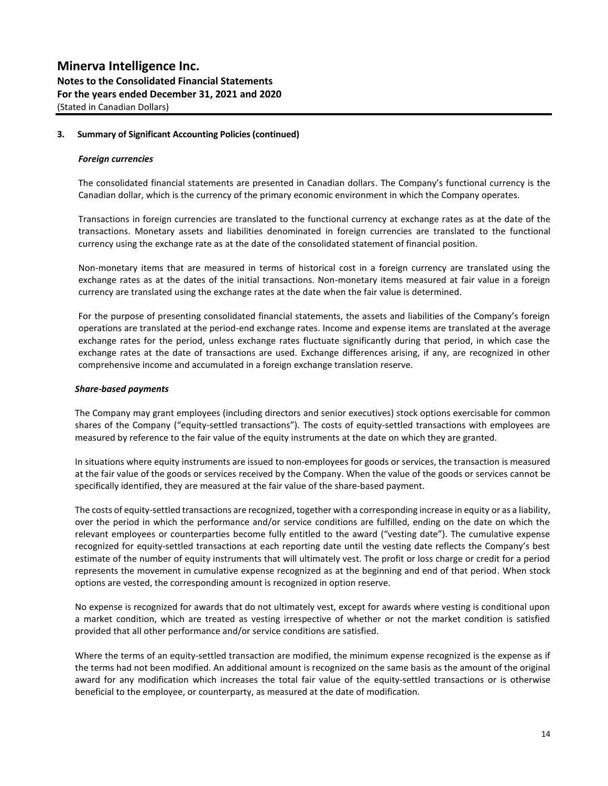#### *Foreign currencies*

The consolidated financial statements are presented in Canadian dollars. The Company's functional currency is the Canadian dollar, which is the currency of the primary economic environment in which the Company operates.

Transactions in foreign currencies are translated to the functional currency at exchange rates as at the date of the transactions. Monetary assets and liabilities denominated in foreign currencies are translated to the functional currency using the exchange rate as at the date of the consolidated statement of financial position.

Non-monetary items that are measured in terms of historical cost in a foreign currency are translated using the exchange rates as at the dates of the initial transactions. Non-monetary items measured at fair value in a foreign currency are translated using the exchange rates at the date when the fair value is determined.

For the purpose of presenting consolidated financial statements, the assets and liabilities of the Company's foreign operations are translated at the period-end exchange rates. Income and expense items are translated at the average exchange rates for the period, unless exchange rates fluctuate significantly during that period, in which case the exchange rates at the date of transactions are used. Exchange differences arising, if any, are recognized in other comprehensive income and accumulated in a foreign exchange translation reserve.

#### *Share-based payments*

The Company may grant employees (including directors and senior executives) stock options exercisable for common shares of the Company ("equity-settled transactions"). The costs of equity-settled transactions with employees are measured by reference to the fair value of the equity instruments at the date on which they are granted.

In situations where equity instruments are issued to non-employees for goods or services, the transaction is measured at the fair value of the goods or services received by the Company. When the value of the goods or services cannot be specifically identified, they are measured at the fair value of the share-based payment.

The costs of equity-settled transactions are recognized, together with a corresponding increase in equity or as a liability, over the period in which the performance and/or service conditions are fulfilled, ending on the date on which the relevant employees or counterparties become fully entitled to the award ("vesting date"). The cumulative expense recognized for equity-settled transactions at each reporting date until the vesting date reflects the Company's best estimate of the number of equity instruments that will ultimately vest. The profit or loss charge or credit for a period represents the movement in cumulative expense recognized as at the beginning and end of that period. When stock options are vested, the corresponding amount is recognized in option reserve.

No expense is recognized for awards that do not ultimately vest, except for awards where vesting is conditional upon a market condition, which are treated as vesting irrespective of whether or not the market condition is satisfied provided that all other performance and/or service conditions are satisfied.

Where the terms of an equity-settled transaction are modified, the minimum expense recognized is the expense as if the terms had not been modified. An additional amount is recognized on the same basis as the amount of the original award for any modification which increases the total fair value of the equity-settled transactions or is otherwise beneficial to the employee, or counterparty, as measured at the date of modification.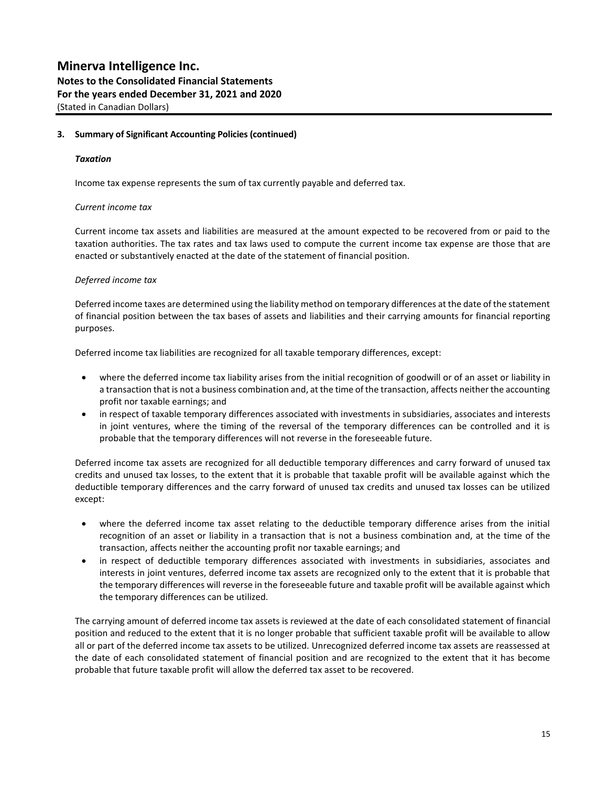#### *Taxation*

Income tax expense represents the sum of tax currently payable and deferred tax.

#### *Current income tax*

Current income tax assets and liabilities are measured at the amount expected to be recovered from or paid to the taxation authorities. The tax rates and tax laws used to compute the current income tax expense are those that are enacted or substantively enacted at the date of the statement of financial position.

#### *Deferred income tax*

Deferred income taxes are determined using the liability method on temporary differences at the date of the statement of financial position between the tax bases of assets and liabilities and their carrying amounts for financial reporting purposes.

Deferred income tax liabilities are recognized for all taxable temporary differences, except:

- where the deferred income tax liability arises from the initial recognition of goodwill or of an asset or liability in a transaction that is not a business combination and, at the time of the transaction, affects neither the accounting profit nor taxable earnings; and
- in respect of taxable temporary differences associated with investments in subsidiaries, associates and interests in joint ventures, where the timing of the reversal of the temporary differences can be controlled and it is probable that the temporary differences will not reverse in the foreseeable future.

Deferred income tax assets are recognized for all deductible temporary differences and carry forward of unused tax credits and unused tax losses, to the extent that it is probable that taxable profit will be available against which the deductible temporary differences and the carry forward of unused tax credits and unused tax losses can be utilized except:

- where the deferred income tax asset relating to the deductible temporary difference arises from the initial recognition of an asset or liability in a transaction that is not a business combination and, at the time of the transaction, affects neither the accounting profit nor taxable earnings; and
- in respect of deductible temporary differences associated with investments in subsidiaries, associates and interests in joint ventures, deferred income tax assets are recognized only to the extent that it is probable that the temporary differences will reverse in the foreseeable future and taxable profit will be available against which the temporary differences can be utilized.

The carrying amount of deferred income tax assets is reviewed at the date of each consolidated statement of financial position and reduced to the extent that it is no longer probable that sufficient taxable profit will be available to allow all or part of the deferred income tax assets to be utilized. Unrecognized deferred income tax assets are reassessed at the date of each consolidated statement of financial position and are recognized to the extent that it has become probable that future taxable profit will allow the deferred tax asset to be recovered.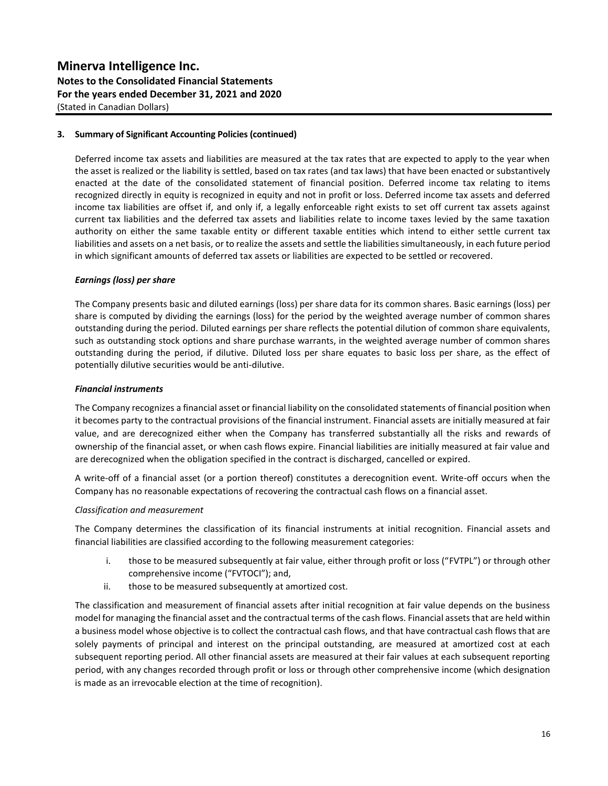Deferred income tax assets and liabilities are measured at the tax rates that are expected to apply to the year when the asset is realized or the liability is settled, based on tax rates (and tax laws) that have been enacted or substantively enacted at the date of the consolidated statement of financial position. Deferred income tax relating to items recognized directly in equity is recognized in equity and not in profit or loss. Deferred income tax assets and deferred income tax liabilities are offset if, and only if, a legally enforceable right exists to set off current tax assets against current tax liabilities and the deferred tax assets and liabilities relate to income taxes levied by the same taxation authority on either the same taxable entity or different taxable entities which intend to either settle current tax liabilities and assets on a net basis, or to realize the assets and settle the liabilities simultaneously, in each future period in which significant amounts of deferred tax assets or liabilities are expected to be settled or recovered.

#### *Earnings (loss) per share*

The Company presents basic and diluted earnings (loss) per share data for its common shares. Basic earnings (loss) per share is computed by dividing the earnings (loss) for the period by the weighted average number of common shares outstanding during the period. Diluted earnings per share reflects the potential dilution of common share equivalents, such as outstanding stock options and share purchase warrants, in the weighted average number of common shares outstanding during the period, if dilutive. Diluted loss per share equates to basic loss per share, as the effect of potentially dilutive securities would be anti-dilutive.

#### *Financial instruments*

The Company recognizes a financial asset or financial liability on the consolidated statements of financial position when it becomes party to the contractual provisions of the financial instrument. Financial assets are initially measured at fair value, and are derecognized either when the Company has transferred substantially all the risks and rewards of ownership of the financial asset, or when cash flows expire. Financial liabilities are initially measured at fair value and are derecognized when the obligation specified in the contract is discharged, cancelled or expired.

A write-off of a financial asset (or a portion thereof) constitutes a derecognition event. Write-off occurs when the Company has no reasonable expectations of recovering the contractual cash flows on a financial asset.

# *Classification and measurement*

The Company determines the classification of its financial instruments at initial recognition. Financial assets and financial liabilities are classified according to the following measurement categories:

- i. those to be measured subsequently at fair value, either through profit or loss ("FVTPL") or through other comprehensive income ("FVTOCI"); and,
- ii. those to be measured subsequently at amortized cost.

The classification and measurement of financial assets after initial recognition at fair value depends on the business model for managing the financial asset and the contractual terms of the cash flows. Financial assets that are held within a business model whose objective is to collect the contractual cash flows, and that have contractual cash flows that are solely payments of principal and interest on the principal outstanding, are measured at amortized cost at each subsequent reporting period. All other financial assets are measured at their fair values at each subsequent reporting period, with any changes recorded through profit or loss or through other comprehensive income (which designation is made as an irrevocable election at the time of recognition).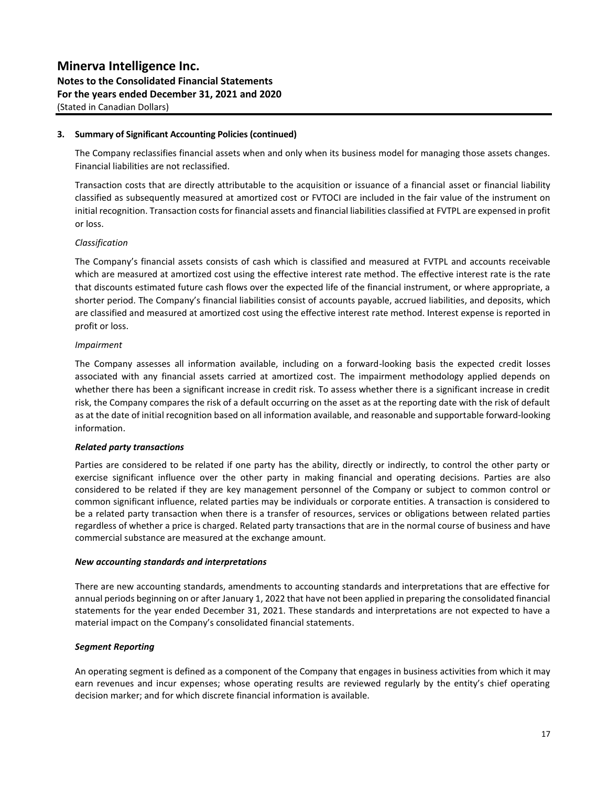The Company reclassifies financial assets when and only when its business model for managing those assets changes. Financial liabilities are not reclassified.

Transaction costs that are directly attributable to the acquisition or issuance of a financial asset or financial liability classified as subsequently measured at amortized cost or FVTOCI are included in the fair value of the instrument on initial recognition. Transaction costs for financial assets and financial liabilities classified at FVTPL are expensed in profit or loss.

#### *Classification*

The Company's financial assets consists of cash which is classified and measured at FVTPL and accounts receivable which are measured at amortized cost using the effective interest rate method. The effective interest rate is the rate that discounts estimated future cash flows over the expected life of the financial instrument, or where appropriate, a shorter period. The Company's financial liabilities consist of accounts payable, accrued liabilities, and deposits, which are classified and measured at amortized cost using the effective interest rate method. Interest expense is reported in profit or loss.

#### *Impairment*

The Company assesses all information available, including on a forward-looking basis the expected credit losses associated with any financial assets carried at amortized cost. The impairment methodology applied depends on whether there has been a significant increase in credit risk. To assess whether there is a significant increase in credit risk, the Company compares the risk of a default occurring on the asset as at the reporting date with the risk of default as at the date of initial recognition based on all information available, and reasonable and supportable forward-looking information.

# *Related party transactions*

Parties are considered to be related if one party has the ability, directly or indirectly, to control the other party or exercise significant influence over the other party in making financial and operating decisions. Parties are also considered to be related if they are key management personnel of the Company or subject to common control or common significant influence, related parties may be individuals or corporate entities. A transaction is considered to be a related party transaction when there is a transfer of resources, services or obligations between related parties regardless of whether a price is charged. Related party transactions that are in the normal course of business and have commercial substance are measured at the exchange amount.

#### *New accounting standards and interpretations*

There are new accounting standards, amendments to accounting standards and interpretations that are effective for annual periods beginning on or after January 1, 2022 that have not been applied in preparing the consolidated financial statements for the year ended December 31, 2021. These standards and interpretations are not expected to have a material impact on the Company's consolidated financial statements.

# *Segment Reporting*

An operating segment is defined as a component of the Company that engages in business activities from which it may earn revenues and incur expenses; whose operating results are reviewed regularly by the entity's chief operating decision marker; and for which discrete financial information is available.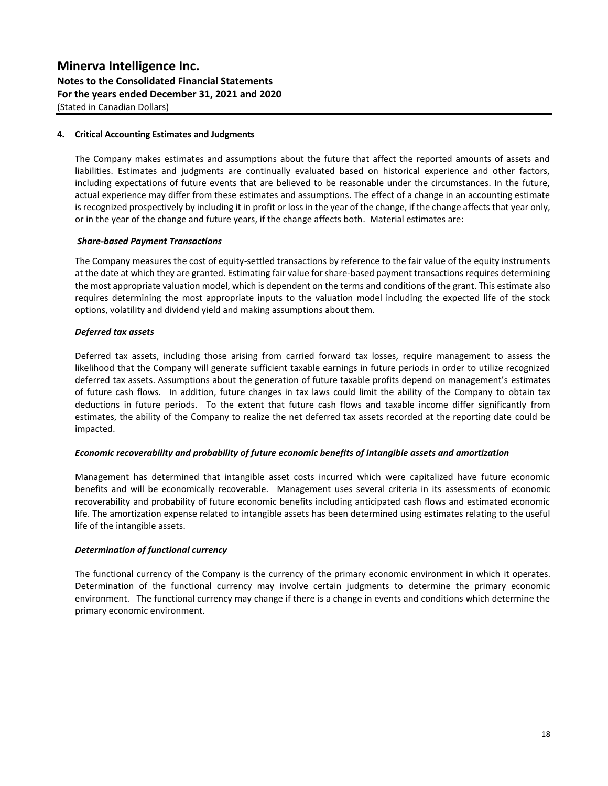#### **4. Critical Accounting Estimates and Judgments**

The Company makes estimates and assumptions about the future that affect the reported amounts of assets and liabilities. Estimates and judgments are continually evaluated based on historical experience and other factors, including expectations of future events that are believed to be reasonable under the circumstances. In the future, actual experience may differ from these estimates and assumptions. The effect of a change in an accounting estimate is recognized prospectively by including it in profit or loss in the year of the change, if the change affects that year only, or in the year of the change and future years, if the change affects both. Material estimates are:

#### *Share-based Payment Transactions*

The Company measures the cost of equity-settled transactions by reference to the fair value of the equity instruments at the date at which they are granted. Estimating fair value for share-based payment transactions requires determining the most appropriate valuation model, which is dependent on the terms and conditions of the grant. This estimate also requires determining the most appropriate inputs to the valuation model including the expected life of the stock options, volatility and dividend yield and making assumptions about them.

#### *Deferred tax assets*

Deferred tax assets, including those arising from carried forward tax losses, require management to assess the likelihood that the Company will generate sufficient taxable earnings in future periods in order to utilize recognized deferred tax assets. Assumptions about the generation of future taxable profits depend on management's estimates of future cash flows. In addition, future changes in tax laws could limit the ability of the Company to obtain tax deductions in future periods. To the extent that future cash flows and taxable income differ significantly from estimates, the ability of the Company to realize the net deferred tax assets recorded at the reporting date could be impacted.

#### *Economic recoverability and probability of future economic benefits of intangible assets and amortization*

Management has determined that intangible asset costs incurred which were capitalized have future economic benefits and will be economically recoverable. Management uses several criteria in its assessments of economic recoverability and probability of future economic benefits including anticipated cash flows and estimated economic life. The amortization expense related to intangible assets has been determined using estimates relating to the useful life of the intangible assets.

# *Determination of functional currency*

The functional currency of the Company is the currency of the primary economic environment in which it operates. Determination of the functional currency may involve certain judgments to determine the primary economic environment. The functional currency may change if there is a change in events and conditions which determine the primary economic environment.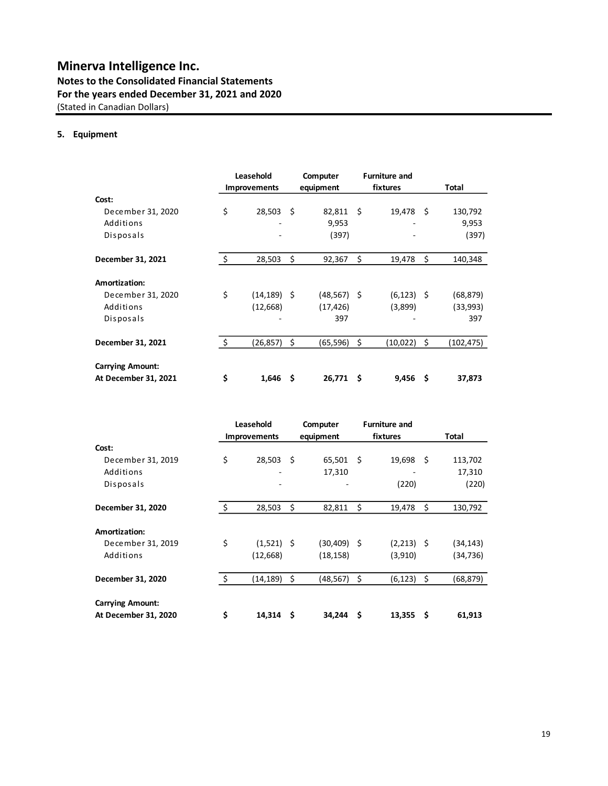# **Minerva Intelligence Inc. Notes to the Consolidated Financial Statements For the years ended December 31, 2021 and 2020** (Stated in Canadian Dollars)

# **5. Equipment**

|                         |         | Leasehold<br><b>Improvements</b> |     | Computer<br>equipment |      | <b>Furniture and</b><br>fixtures |     | Total     |
|-------------------------|---------|----------------------------------|-----|-----------------------|------|----------------------------------|-----|-----------|
| Cost:                   |         |                                  |     |                       |      |                                  |     |           |
| December 31, 2020       | \$      | 28,503                           | -Ŝ  | $82,811$ \$           |      | 19,478                           | -\$ | 130,792   |
| Additions               |         | ۰                                |     | 9,953                 |      |                                  |     | 9,953     |
| Disposals               |         |                                  |     | (397)                 |      |                                  |     | (397)     |
| December 31, 2021       | \$      | 28,503                           | Ŝ.  | 92,367                | Ŝ.   | 19,478                           | Ś   | 140,348   |
| Amortization:           |         |                                  |     |                       |      |                                  |     |           |
|                         |         |                                  |     |                       |      |                                  |     |           |
| December 31, 2020       | \$      | $(14, 189)$ \$                   |     | $(48, 567)$ \$        |      | $(6, 123)$ \$                    |     | (68, 879) |
| Additions               |         | (12, 668)                        |     | (17, 426)             |      | (3,899)                          |     | (33,993)  |
| Disposals               |         |                                  |     | 397                   |      |                                  |     | 397       |
| December 31, 2021       | $\zeta$ | (26,857)                         | \$  | (65,596)              | \$   | (10,022)                         | \$  | (102,475) |
| <b>Carrying Amount:</b> |         |                                  |     |                       |      |                                  |     |           |
| At December 31, 2021    | \$      | 1,646                            | . S | 26,771                | - \$ | 9,456                            | Ŝ   | 37,873    |

|                         | Leasehold           |     | Computer    |    | <b>Furniture and</b> |      |          |
|-------------------------|---------------------|-----|-------------|----|----------------------|------|----------|
|                         | <b>Improvements</b> |     | equipment   |    | fixtures             |      | Total    |
| Cost:                   |                     |     |             |    |                      |      |          |
| December 31, 2019       | \$<br>28,503        | - Ś | 65,501      | Ŝ. | 19,698               | - \$ | 113,702  |
| Additions               |                     |     | 17,310      |    |                      |      | 17,310   |
| Disposals               |                     |     |             |    | (220)                |      | (220)    |
|                         |                     |     |             |    |                      |      |          |
| December 31, 2020       | \$<br>28,503        | \$  | 82,811      | Ś  | 19,478               | \$   | 130,792  |
|                         |                     |     |             |    |                      |      |          |
| Amortization:           |                     |     |             |    |                      |      |          |
| December 31, 2019       | \$<br>$(1,521)$ \$  |     | (30,409) \$ |    | $(2,213)$ \$         |      | (34,143) |
| Additions               | (12, 668)           |     | (18,158)    |    | (3,910)              |      | (34,736) |
| December 31, 2020       | \$<br>(14, 189)     | \$  | (48, 567)   | \$ | (6, 123)             | \$   | (68,879) |
|                         |                     |     |             |    |                      |      |          |
| <b>Carrying Amount:</b> |                     |     |             |    |                      |      |          |
| At December 31, 2020    | \$<br>14.314        | Ŝ.  | 34,244      | Ś  | 13,355               | Ŝ    | 61,913   |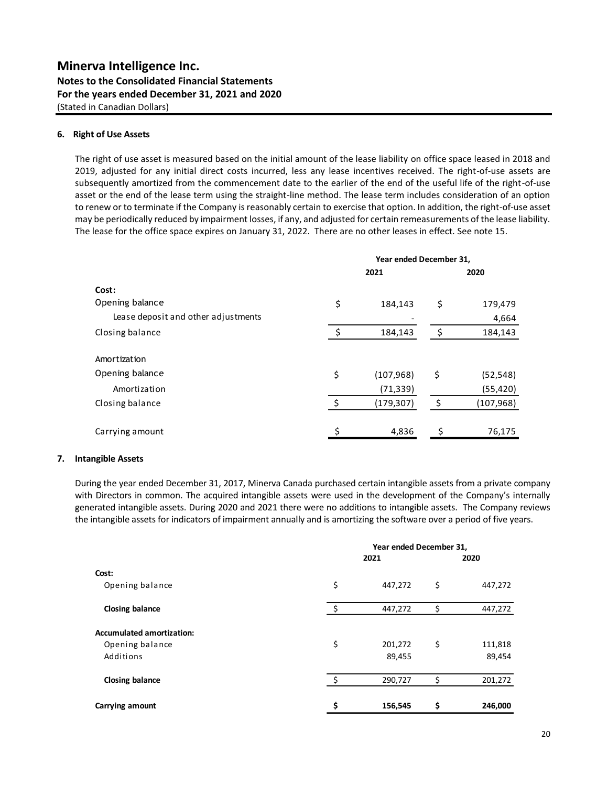#### **6. Right of Use Assets**

The right of use asset is measured based on the initial amount of the lease liability on office space leased in 2018 and 2019, adjusted for any initial direct costs incurred, less any lease incentives received. The right-of-use assets are subsequently amortized from the commencement date to the earlier of the end of the useful life of the right-of-use asset or the end of the lease term using the straight-line method. The lease term includes consideration of an option to renew or to terminate if the Company is reasonably certain to exercise that option. In addition, the right-of-use asset may be periodically reduced by impairment losses, if any, and adjusted for certain remeasurements of the lease liability. The lease for the office space expires on January 31, 2022. There are no other leases in effect. See note 15.

|                                     | Year ended December 31, |            |      |            |  |  |
|-------------------------------------|-------------------------|------------|------|------------|--|--|
|                                     |                         | 2021       | 2020 |            |  |  |
| Cost:                               |                         |            |      |            |  |  |
| Opening balance                     | \$                      | 184,143    | \$   | 179,479    |  |  |
| Lease deposit and other adjustments |                         |            |      | 4,664      |  |  |
| Closing balance                     | \$                      | 184,143    | \$   | 184,143    |  |  |
| Amortization                        |                         |            |      |            |  |  |
| Opening balance                     | \$                      | (107,968)  | \$   | (52, 548)  |  |  |
| Amortization                        |                         | (71, 339)  |      | (55,420)   |  |  |
| Closing balance                     | \$                      | (179, 307) | \$   | (107, 968) |  |  |
| Carrying amount                     | Ś                       | 4,836      |      | 76,175     |  |  |

#### **7. Intangible Assets**

During the year ended December 31, 2017, Minerva Canada purchased certain intangible assets from a private company with Directors in common. The acquired intangible assets were used in the development of the Company's internally generated intangible assets. During 2020 and 2021 there were no additions to intangible assets. The Company reviews the intangible assets for indicators of impairment annually and is amortizing the software over a period of five years.

|                                  | Year ended December 31, |         |    |         |  |
|----------------------------------|-------------------------|---------|----|---------|--|
|                                  | 2021                    |         |    | 2020    |  |
| Cost:                            |                         |         |    |         |  |
| Opening balance                  | \$                      | 447,272 | \$ | 447,272 |  |
| Closing balance                  | \$                      | 447,272 | \$ | 447,272 |  |
| <b>Accumulated amortization:</b> |                         |         |    |         |  |
| Opening balance                  | \$                      | 201,272 | \$ | 111,818 |  |
| Additions                        |                         | 89,455  |    | 89,454  |  |
| Closing balance                  |                         | 290,727 | \$ | 201,272 |  |
| Carrying amount                  | \$                      | 156,545 | \$ | 246,000 |  |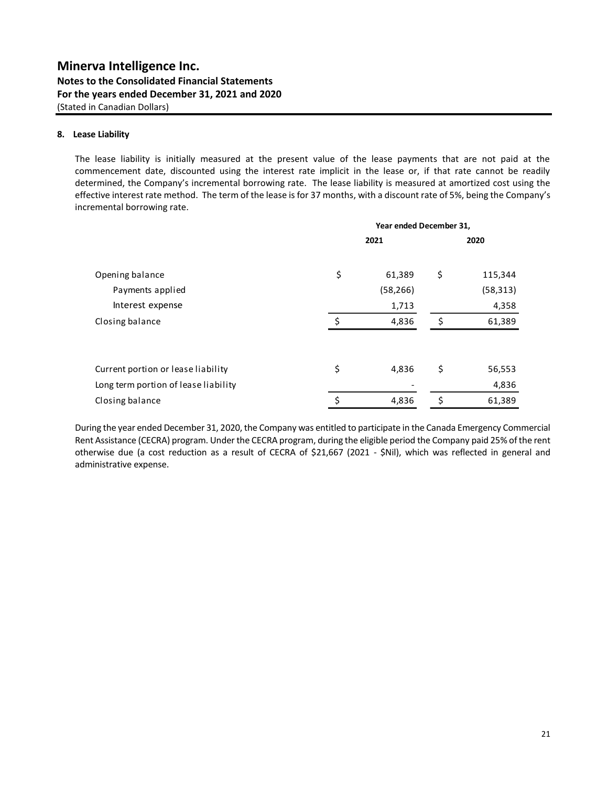#### **8. Lease Liability**

The lease liability is initially measured at the present value of the lease payments that are not paid at the commencement date, discounted using the interest rate implicit in the lease or, if that rate cannot be readily determined, the Company's incremental borrowing rate. The lease liability is measured at amortized cost using the effective interest rate method. The term of the lease is for 37 months, with a discount rate of 5%, being the Company's incremental borrowing rate.

|                                      | Year ended December 31, |           |    |           |  |  |  |
|--------------------------------------|-------------------------|-----------|----|-----------|--|--|--|
|                                      |                         | 2021      |    | 2020      |  |  |  |
| Opening balance                      | \$                      | 61,389    | \$ | 115,344   |  |  |  |
| Payments applied                     |                         | (58, 266) |    | (58, 313) |  |  |  |
| Interest expense                     |                         | 1,713     |    | 4,358     |  |  |  |
| Closing balance                      | Ś                       | 4,836     | Ś  | 61,389    |  |  |  |
| Current portion or lease liability   | \$                      | 4,836     | \$ | 56,553    |  |  |  |
| Long term portion of lease liability |                         |           |    | 4,836     |  |  |  |
| Closing balance                      | \$                      | 4,836     | \$ | 61,389    |  |  |  |

During the year ended December 31, 2020, the Company was entitled to participate in the Canada Emergency Commercial Rent Assistance (CECRA) program. Under the CECRA program, during the eligible period the Company paid 25% of the rent otherwise due (a cost reduction as a result of CECRA of \$21,667 (2021 - \$Nil), which was reflected in general and administrative expense.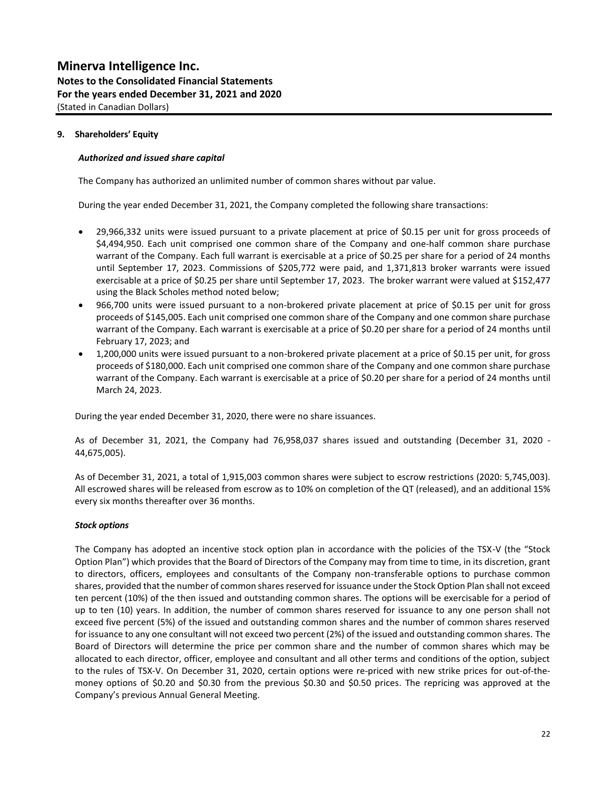#### **9. Shareholders' Equity**

#### *Authorized and issued share capital*

The Company has authorized an unlimited number of common shares without par value.

During the year ended December 31, 2021, the Company completed the following share transactions:

- 29,966,332 units were issued pursuant to a private placement at price of \$0.15 per unit for gross proceeds of \$4,494,950. Each unit comprised one common share of the Company and one-half common share purchase warrant of the Company. Each full warrant is exercisable at a price of \$0.25 per share for a period of 24 months until September 17, 2023. Commissions of \$205,772 were paid, and 1,371,813 broker warrants were issued exercisable at a price of \$0.25 per share until September 17, 2023. The broker warrant were valued at \$152,477 using the Black Scholes method noted below;
- 966,700 units were issued pursuant to a non-brokered private placement at price of \$0.15 per unit for gross proceeds of \$145,005. Each unit comprised one common share of the Company and one common share purchase warrant of the Company. Each warrant is exercisable at a price of \$0.20 per share for a period of 24 months until February 17, 2023; and
- 1,200,000 units were issued pursuant to a non-brokered private placement at a price of \$0.15 per unit, for gross proceeds of \$180,000. Each unit comprised one common share of the Company and one common share purchase warrant of the Company. Each warrant is exercisable at a price of \$0.20 per share for a period of 24 months until March 24, 2023.

During the year ended December 31, 2020, there were no share issuances.

As of December 31, 2021, the Company had 76,958,037 shares issued and outstanding (December 31, 2020 - 44,675,005).

As of December 31, 2021, a total of 1,915,003 common shares were subject to escrow restrictions (2020: 5,745,003). All escrowed shares will be released from escrow as to 10% on completion of the QT (released), and an additional 15% every six months thereafter over 36 months.

#### *Stock options*

The Company has adopted an incentive stock option plan in accordance with the policies of the TSX-V (the "Stock Option Plan") which provides that the Board of Directors of the Company may from time to time, in its discretion, grant to directors, officers, employees and consultants of the Company non-transferable options to purchase common shares, provided that the number of common shares reserved for issuance under the Stock Option Plan shall not exceed ten percent (10%) of the then issued and outstanding common shares. The options will be exercisable for a period of up to ten (10) years. In addition, the number of common shares reserved for issuance to any one person shall not exceed five percent (5%) of the issued and outstanding common shares and the number of common shares reserved for issuance to any one consultant will not exceed two percent (2%) of the issued and outstanding common shares. The Board of Directors will determine the price per common share and the number of common shares which may be allocated to each director, officer, employee and consultant and all other terms and conditions of the option, subject to the rules of TSX-V. On December 31, 2020, certain options were re-priced with new strike prices for out-of-themoney options of \$0.20 and \$0.30 from the previous \$0.30 and \$0.50 prices. The repricing was approved at the Company's previous Annual General Meeting.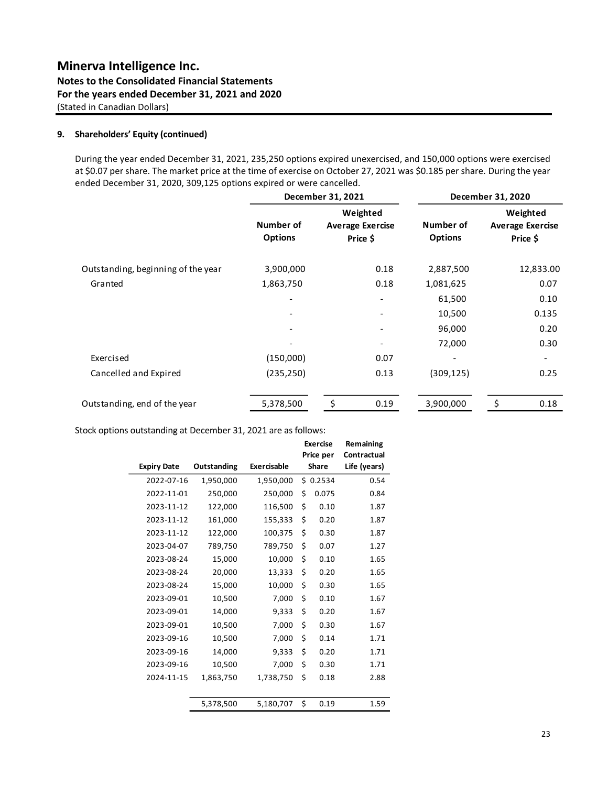### **9. Shareholders' Equity (continued)**

During the year ended December 31, 2021, 235,250 options expired unexercised, and 150,000 options were exercised at \$0.07 per share. The market price at the time of exercise on October 27, 2021 was \$0.185 per share. During the year ended December 31, 2020, 309,125 options expired or were cancelled.

|                                    |                             | December 31, 2021                               | December 31, 2020           |                                                 |  |  |
|------------------------------------|-----------------------------|-------------------------------------------------|-----------------------------|-------------------------------------------------|--|--|
|                                    | Number of<br><b>Options</b> | Weighted<br><b>Average Exercise</b><br>Price \$ | Number of<br><b>Options</b> | Weighted<br><b>Average Exercise</b><br>Price \$ |  |  |
| Outstanding, beginning of the year | 3,900,000                   | 0.18                                            | 2,887,500                   | 12,833.00                                       |  |  |
| Granted                            | 1,863,750                   | 0.18                                            | 1,081,625                   | 0.07                                            |  |  |
|                                    |                             |                                                 | 61,500                      | 0.10                                            |  |  |
|                                    |                             |                                                 | 10,500                      | 0.135                                           |  |  |
|                                    |                             |                                                 | 96,000                      | 0.20                                            |  |  |
|                                    |                             |                                                 | 72,000                      | 0.30                                            |  |  |
| Exercised                          | (150,000)                   | 0.07                                            |                             |                                                 |  |  |
| Cancelled and Expired              | (235, 250)                  | 0.13                                            | (309, 125)                  | 0.25                                            |  |  |
| Outstanding, end of the year       | 5,378,500                   | \$<br>0.19                                      | 3,900,000                   | \$<br>0.18                                      |  |  |

Stock options outstanding at December 31, 2021 are as follows:

|             |             | <b>Exercise</b> |       | Remaining                             |
|-------------|-------------|-----------------|-------|---------------------------------------|
|             |             |                 |       | Contractual                           |
| Outstanding | Exercisable |                 |       | Life (years)                          |
| 1,950,000   | 1,950,000   |                 |       | 0.54                                  |
| 250,000     | 250,000     | \$              | 0.075 | 0.84                                  |
| 122,000     | 116,500     | \$              | 0.10  | 1.87                                  |
| 161,000     | 155,333     | \$              | 0.20  | 1.87                                  |
| 122,000     | 100,375     | \$              | 0.30  | 1.87                                  |
| 789,750     | 789,750     | \$              | 0.07  | 1.27                                  |
| 15,000      | 10,000      | \$              | 0.10  | 1.65                                  |
| 20,000      | 13,333      | \$              | 0.20  | 1.65                                  |
| 15,000      | 10,000      | \$              | 0.30  | 1.65                                  |
| 10,500      | 7,000       | \$              | 0.10  | 1.67                                  |
| 14,000      | 9,333       | \$              | 0.20  | 1.67                                  |
| 10,500      | 7,000       | \$              | 0.30  | 1.67                                  |
| 10,500      | 7,000       | \$              | 0.14  | 1.71                                  |
| 14,000      | 9,333       | \$              | 0.20  | 1.71                                  |
| 10,500      | 7,000       | \$              | 0.30  | 1.71                                  |
| 1,863,750   | 1,738,750   | \$              | 0.18  | 2.88                                  |
|             |             |                 |       |                                       |
| 5,378,500   | 5,180,707   | \$              | 0.19  | 1.59                                  |
|             |             |                 |       | Price per<br><b>Share</b><br>\$0.2534 |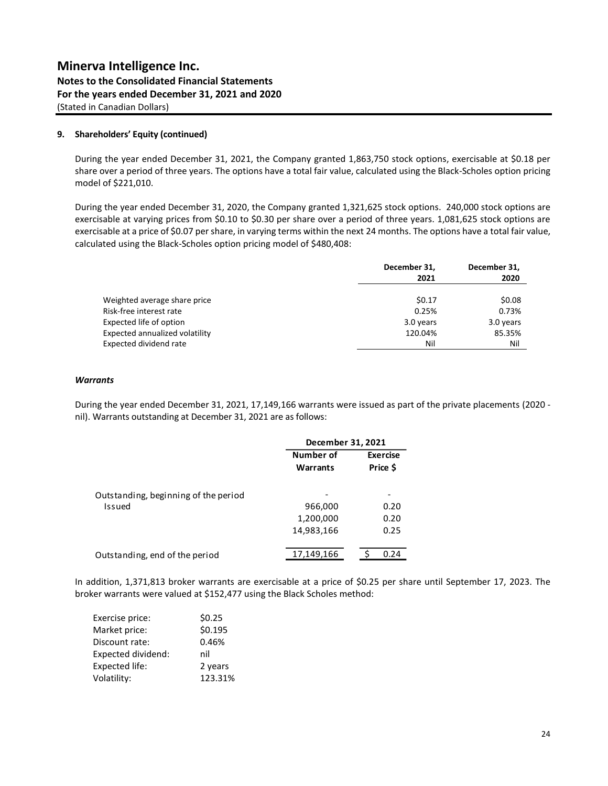#### **9. Shareholders' Equity (continued)**

During the year ended December 31, 2021, the Company granted 1,863,750 stock options, exercisable at \$0.18 per share over a period of three years. The options have a total fair value, calculated using the Black-Scholes option pricing model of \$221,010.

During the year ended December 31, 2020, the Company granted 1,321,625 stock options. 240,000 stock options are exercisable at varying prices from \$0.10 to \$0.30 per share over a period of three years. 1,081,625 stock options are exercisable at a price of \$0.07 per share, in varying terms within the next 24 months. The options have a total fair value, calculated using the Black-Scholes option pricing model of \$480,408:

|                                | December 31, | December 31, |  |
|--------------------------------|--------------|--------------|--|
|                                | 2021         | 2020         |  |
|                                |              |              |  |
| Weighted average share price   | \$0.17       | \$0.08       |  |
| Risk-free interest rate        | 0.25%        | 0.73%        |  |
| Expected life of option        | 3.0 years    | 3.0 years    |  |
| Expected annualized volatility | 120.04%      | 85.35%       |  |
| Expected dividend rate         | Nil          | Nil          |  |

#### *Warrants*

During the year ended December 31, 2021, 17,149,166 warrants were issued as part of the private placements (2020 nil). Warrants outstanding at December 31, 2021 are as follows:

|                                      | December 31, 2021 |                 |  |
|--------------------------------------|-------------------|-----------------|--|
|                                      | Number of         | <b>Exercise</b> |  |
|                                      | Warrants          | Price \$        |  |
| Outstanding, beginning of the period |                   |                 |  |
| Issued                               | 966,000           | 0.20            |  |
|                                      | 1,200,000         | 0.20            |  |
|                                      | 14,983,166        | 0.25            |  |
| Outstanding, end of the period       | 17,149,166        | 0.24            |  |

In addition, 1,371,813 broker warrants are exercisable at a price of \$0.25 per share until September 17, 2023. The broker warrants were valued at \$152,477 using the Black Scholes method:

| Exercise price:    | \$0.25  |
|--------------------|---------|
| Market price:      | \$0.195 |
| Discount rate:     | 0.46%   |
| Expected dividend: | nil     |
| Expected life:     | 2 years |
| Volatility:        | 123.31% |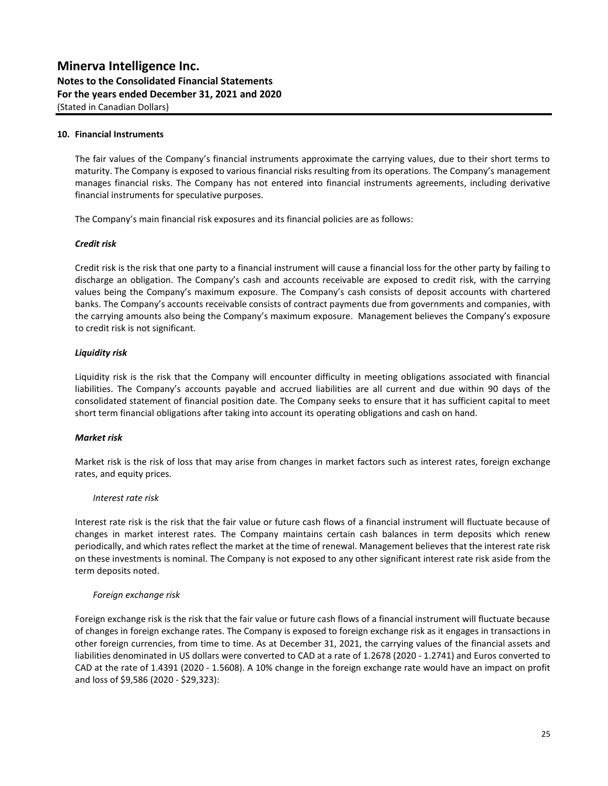#### **10. Financial Instruments**

The fair values of the Company's financial instruments approximate the carrying values, due to their short terms to maturity. The Company is exposed to various financial risks resulting from its operations. The Company's management manages financial risks. The Company has not entered into financial instruments agreements, including derivative financial instruments for speculative purposes.

The Company's main financial risk exposures and its financial policies are as follows:

#### *Credit risk*

Credit risk is the risk that one party to a financial instrument will cause a financial loss for the other party by failing to discharge an obligation. The Company's cash and accounts receivable are exposed to credit risk, with the carrying values being the Company's maximum exposure. The Company's cash consists of deposit accounts with chartered banks. The Company's accounts receivable consists of contract payments due from governments and companies, with the carrying amounts also being the Company's maximum exposure. Management believes the Company's exposure to credit risk is not significant.

#### *Liquidity risk*

Liquidity risk is the risk that the Company will encounter difficulty in meeting obligations associated with financial liabilities. The Company's accounts payable and accrued liabilities are all current and due within 90 days of the consolidated statement of financial position date. The Company seeks to ensure that it has sufficient capital to meet short term financial obligations after taking into account its operating obligations and cash on hand.

#### *Market risk*

Market risk is the risk of loss that may arise from changes in market factors such as interest rates, foreign exchange rates, and equity prices.

#### *Interest rate risk*

Interest rate risk is the risk that the fair value or future cash flows of a financial instrument will fluctuate because of changes in market interest rates. The Company maintains certain cash balances in term deposits which renew periodically, and which rates reflect the market at the time of renewal. Management believes that the interest rate risk on these investments is nominal. The Company is not exposed to any other significant interest rate risk aside from the term deposits noted.

#### *Foreign exchange risk*

Foreign exchange risk is the risk that the fair value or future cash flows of a financial instrument will fluctuate because of changes in foreign exchange rates. The Company is exposed to foreign exchange risk as it engages in transactions in other foreign currencies, from time to time. As at December 31, 2021, the carrying values of the financial assets and liabilities denominated in US dollars were converted to CAD at a rate of 1.2678 (2020 - 1.2741) and Euros converted to CAD at the rate of 1.4391 (2020 - 1.5608). A 10% change in the foreign exchange rate would have an impact on profit and loss of \$9,586 (2020 - \$29,323):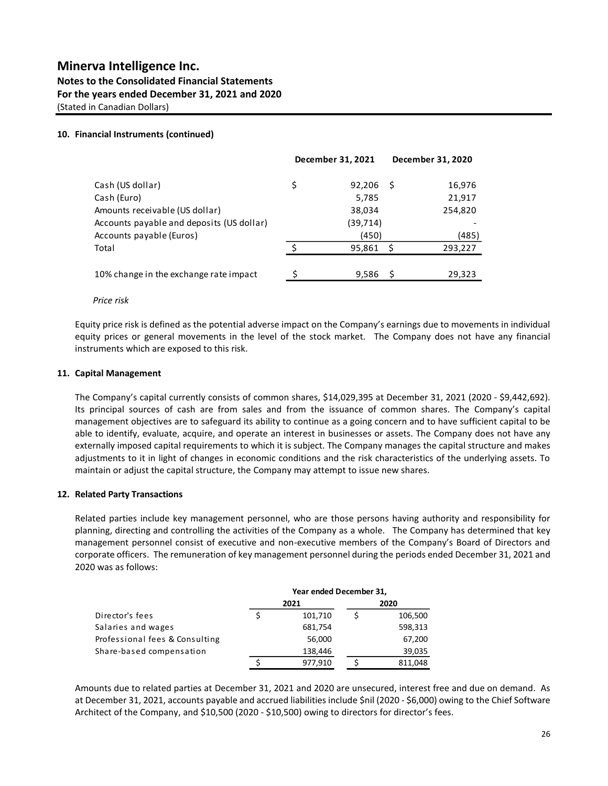#### **10. Financial Instruments (continued)**

|                                           | December 31, 2021 |   | December 31, 2020 |
|-------------------------------------------|-------------------|---|-------------------|
| Cash (US dollar)                          | \$<br>92,206      | S | 16,976            |
| Cash (Euro)                               | 5,785             |   | 21,917            |
| Amounts receivable (US dollar)            | 38,034            |   | 254,820           |
| Accounts payable and deposits (US dollar) | (39, 714)         |   |                   |
| Accounts payable (Euros)                  | (450)             |   | (485)             |
| Total                                     | 95,861            |   | 293,227           |
|                                           |                   |   |                   |
| 10% change in the exchange rate impact    | 9,586             |   | 29,323            |

#### *Price risk*

Equity price risk is defined as the potential adverse impact on the Company's earnings due to movements in individual equity prices or general movements in the level of the stock market. The Company does not have any financial instruments which are exposed to this risk.

#### **11. Capital Management**

The Company's capital currently consists of common shares, \$14,029,395 at December 31, 2021 (2020 - \$9,442,692). Its principal sources of cash are from sales and from the issuance of common shares. The Company's capital management objectives are to safeguard its ability to continue as a going concern and to have sufficient capital to be able to identify, evaluate, acquire, and operate an interest in businesses or assets. The Company does not have any externally imposed capital requirements to which it is subject. The Company manages the capital structure and makes adjustments to it in light of changes in economic conditions and the risk characteristics of the underlying assets. To maintain or adjust the capital structure, the Company may attempt to issue new shares.

#### **12. Related Party Transactions**

Related parties include key management personnel, who are those persons having authority and responsibility for planning, directing and controlling the activities of the Company as a whole. The Company has determined that key management personnel consist of executive and non-executive members of the Company's Board of Directors and corporate officers. The remuneration of key management personnel during the periods ended December 31, 2021 and 2020 was as follows:

|                                | Year ended December 31, |  |         |
|--------------------------------|-------------------------|--|---------|
|                                | 2021                    |  | 2020    |
| Director's fees                | \$<br>101,710           |  | 106,500 |
| Salaries and wages             | 681,754                 |  | 598,313 |
| Professional fees & Consulting | 56,000                  |  | 67,200  |
| Share-based compensation       | 138,446                 |  | 39,035  |
|                                | 977,910                 |  | 811.048 |

Amounts due to related parties at December 31, 2021 and 2020 are unsecured, interest free and due on demand. As at December 31, 2021, accounts payable and accrued liabilities include \$nil (2020 - \$6,000) owing to the Chief Software Architect of the Company, and \$10,500 (2020 - \$10,500) owing to directors for director's fees.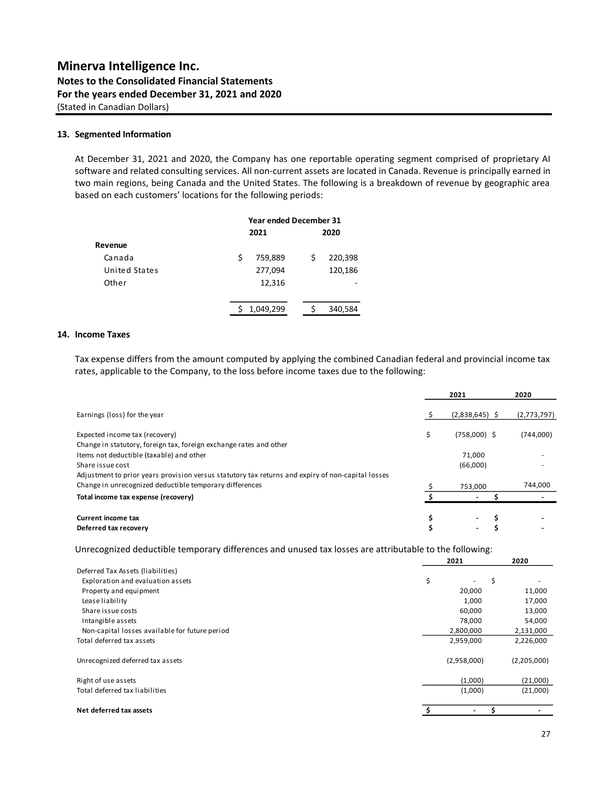#### **13. Segmented Information**

At December 31, 2021 and 2020, the Company has one reportable operating segment comprised of proprietary AI software and related consulting services. All non-current assets are located in Canada. Revenue is principally earned in two main regions, being Canada and the United States. The following is a breakdown of revenue by geographic area based on each customers' locations for the following periods:

|               | <b>Year ended December 31</b> |           |    |         |  |
|---------------|-------------------------------|-----------|----|---------|--|
|               |                               | 2021      |    | 2020    |  |
| Revenue       |                               |           |    |         |  |
| Canada        | Ś                             | 759,889   | \$ | 220,398 |  |
| United States |                               | 277,094   |    | 120,186 |  |
| Other         |                               | 12,316    |    |         |  |
|               |                               |           |    |         |  |
|               |                               | 1,049,299 |    | 340,584 |  |

#### **14. Income Taxes**

Tax expense differs from the amount computed by applying the combined Canadian federal and provincial income tax rates, applicable to the Company, to the loss before income taxes due to the following:

|                                                                                                   | 2021             | 2020        |
|---------------------------------------------------------------------------------------------------|------------------|-------------|
| Earnings (loss) for the year                                                                      | $(2,838,645)$ \$ | (2,773,797) |
| Expected income tax (recovery)                                                                    | $(758,000)$ \$   | (744,000)   |
| Change in statutory, foreign tax, foreign exchange rates and other                                |                  |             |
| Items not deductible (taxable) and other                                                          | 71,000           |             |
| Share issue cost                                                                                  | (66,000)         |             |
| Adjustment to prior years provision versus statutory tax returns and expiry of non-capital losses |                  |             |
| Change in unrecognized deductible temporary differences                                           | 753.000          | 744,000     |
| Total income tax expense (recovery)                                                               |                  |             |
|                                                                                                   |                  |             |
| Current income tax                                                                                |                  |             |
| Deferred tax recovery                                                                             |                  |             |

Unrecognized deductible temporary differences and unused tax losses are attributable to the following:

|                                                | 2021                           | 2020        |
|------------------------------------------------|--------------------------------|-------------|
| Deferred Tax Assets (liabilities)              |                                |             |
| Exploration and evaluation assets              | \$<br>$\overline{\phantom{a}}$ | \$          |
| Property and equipment                         | 20,000                         | 11,000      |
| Lease liability                                | 1,000                          | 17,000      |
| Share issue costs                              | 60,000                         | 13,000      |
| Intangible assets                              | 78,000                         | 54,000      |
| Non-capital losses available for future period | 2,800,000                      | 2,131,000   |
| Total deferred tax assets                      | 2,959,000                      | 2,226,000   |
| Unrecognized deferred tax assets               | (2,958,000)                    | (2,205,000) |
| Right of use assets                            | (1,000)                        | (21,000)    |
| Total deferred tax liabilities                 | (1,000)                        | (21,000)    |
| Net deferred tax assets                        |                                |             |